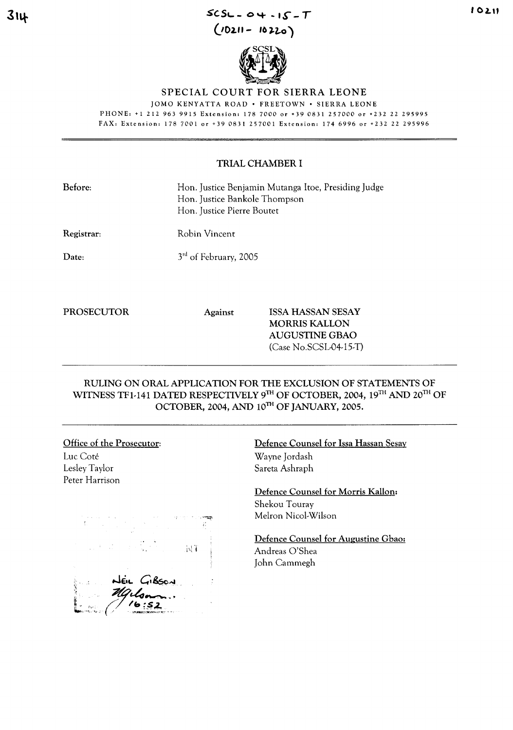## **3',+** *SC.S,-\_* **0,+ .1.)-** *<sup>T</sup>* **(/02.'1- 'f) ).2,.0 )**



#### SPECIAL COURT FOR SIERRA LEONE

JOMO KENYATTA ROAD · FREETOWN · SIERRA LEONE PHONE: +1 2129639915 Extension: 1787000 or +39 0831257000 or +232 22 295995 FAX: Extension: 178 7001 or +39 0831 257001 Extension: 174 6996 or +232 22 295996

#### TRIAL CHAMBER I

| <b>Before:</b>    | Hon. Justice Benjamin Mutanga Itoe, Presiding Judge<br>Hon. Justice Bankole Thompson<br>Hon. Justice Pierre Boutet |                                                  |
|-------------------|--------------------------------------------------------------------------------------------------------------------|--------------------------------------------------|
| Registrar:        | Robin Vincent                                                                                                      |                                                  |
| $\mathbf{Date:}$  | 3 <sup>rd</sup> of February, 2005                                                                                  |                                                  |
| <b>PROSECUTOR</b> | <b>Against</b>                                                                                                     | <b>ISSA HASSAN SESAY</b><br><b>MORRIS KALLON</b> |

RULING ON ORAL APPLICATION FOR THE EXCLUSION OF STATEMENTS OF WITNESS TF1-141 DATED RESPECTIVELY 9TH OF OCTOBER, 2004, 19TH AND 20TH OF OCTOBER, 2004, AND 10TH OF JANUARY, 2005.

# Office of the Prosecutor: Luc Cote

Lesley Taylor Peter Harrison

 $N<sub>i</sub>$ 

### Defence Counsel for Issa Hassan Sesay Wayne Jordash Sareta Ashraph

AUGUSTINE GBAO (Case No.SCSL-04-15-T)

Defence Counsel for Morris Kallon: Shekou Touray Melron Nicol-Wilson

Defence Counsel for Augustine Gbao: Andreas O'Shea John Cammegh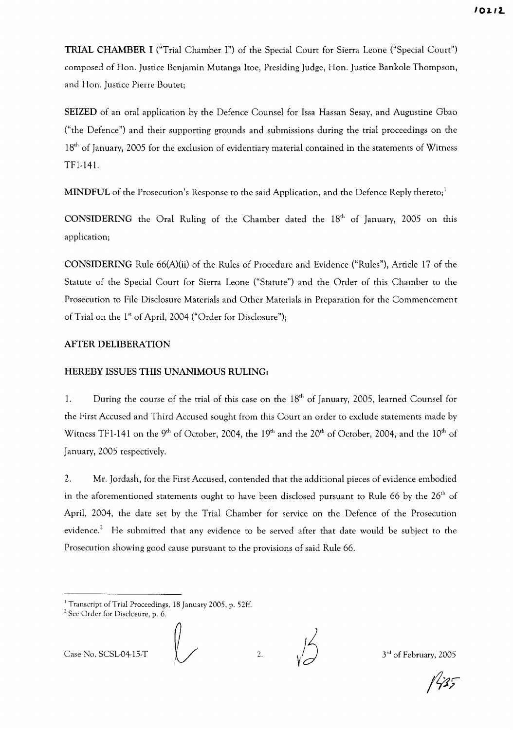**TRIAL CHAMBER I** ("Trial Chamber I") of the Special Court for Sierra Leone ("Special Court") composed of Hon. Justice Benjamin Mutanga Itoe, Presiding Judge, Hon. Justice Bankole Thompson, and Hon. Justice Pierre Bouret;

**SEIZED** of an oral application by the Defence Counsel for Issa Hassan Sesay, and Augustine Gbao ("the Defence") and their supporting grounds and submissions during the trial proceedings on the 18<sup>th</sup> of January, 2005 for the exclusion of evidentiary material contained in the statements of Witness TFl-141.

**MINDFUL** of the Prosecution's Response to the said Application, and the Defence Reply thereto;<sup>1</sup>

**CONSIDERING** the Oral Ruling of the Chamber dated the 18<sup>th</sup> of January, 2005 on this application;

**CONSIDERING** Rule 66(A)(ii) of the Rules of Procedure and Evidence ("Rules"), Article 17 of the Statute of the Special Court for Sierra Leone ("Statute") and the Order of this Chamber to the Prosecution to File Disclosure Materials and Other Materials in Preparation for the Commencement of Trial on the 1<sup>st</sup> of April, 2004 ("Order for Disclosure");

### **AFTER DELIBERATION**

### **HEREBY ISSUES THIS UNANIMOUS RULING:**

1. During the course of the trial of this case on the  $18<sup>th</sup>$  of January, 2005, learned Counsel for the First Accused and Third Accused sought from this Court an order to exclude statements made by Witness TF1-141 on the 9<sup>th</sup> of October, 2004, the 19<sup>th</sup> and the 20<sup>th</sup> of October, 2004, and the 10<sup>th</sup> of January, 2005 respectively.

2. Mr. Jordash, for the First Accused, contended that the additional pieces of evidence embodied in the aforementioned statements ought to have been disclosed pursuant to Rule 66 by the  $26<sup>th</sup>$  of April, 2004, the date set by the Trial Chamber for service on the Defence of the Prosecution evidence.<sup>2</sup> He submitted that any evidence to be served after that date would be subject to the Prosecution showing good cause pursuant to the provisions of said Rule 66.

Case No. SCSL-04-15-T  $\left(\begin{array}{cc} 2 & 2 \end{array}\right)$  2.  $\left(\begin{array}{cc} 3^{rd} & 3^{rd} \end{array}\right)$  of February, 2005

<sup>&</sup>lt;sup>1</sup> Transcript of Trial Proceedings, 18 January 2005, p. 52ff.

<sup>2</sup> See Order for Disclosure, p. 6.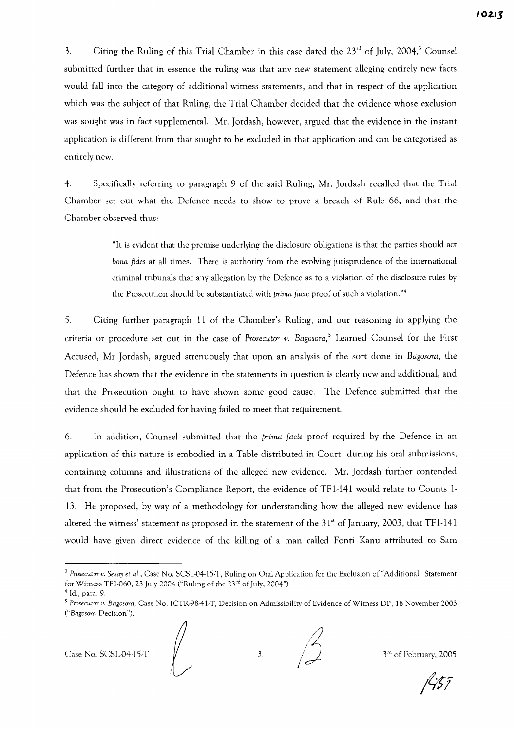3. Citing the Ruling of this Trial Chamber in this case dated the  $23<sup>rd</sup>$  of July, 2004,<sup>3</sup> Counsel submitted further that in essence the ruling was that any new statement alleging entirely new facts would fall into the category of additional witness statements, and that in respect of the application which was the subject of that Ruling, the Trial Chamber decided that the evidence whose exclusion was sought was in fact supplemental. Mr. Jordash, however, argued that the evidence in the instant application is different from that sought to be excluded in that application and can be categorised as entirely new.

4. Specifically referring to paragraph 9 of the said Ruling, Mr. Jordash recalled that the Trial Chamber set out what the Defence needs to show to prove a breach of Rule 66, and that the Chamber observed thus:

> "It is evident that the premise underlying the disclosure obligations is that the parties should act *bona fides* at all times. There is authority from the evolving jurisprudence of the international criminal tribunals that any allegation by the Defence as to a violation of the disclosure rules by the Prosecution should be substantiated with *prima facie* proof of such a violation."<sup>4</sup>

5. Citing further paragraph 11 of the Chamber's Ruling, and our reasoning in applying the criteria or procedure set out in the case of *Prosecutor v. Bagosora,5* Learned Counsel for the First Accused, Mr Jordash, argued strenuously that upon an analysis of the sort done in *Bagosora,* the Defence has shown that the evidence in the statements in question is clearly new and additional, and that the Prosecution ought to have shown some good cause. The Defence submitted that the evidence should be excluded for having failed to meet that requirement.

6. **In** addition, Counsel submitted that the *prima facie* proof required by the Defence in an application of this nature is embodied in a Table distributed in Court during his oral submissions, containing columns and illustrations of the alleged new evidence. Mr. Jordash further contended that from the Prosecution's Compliance Report, the evidence of TFI-141 would relate to Counts 1- 13. He proposed, by way of a methodology for understanding how the alleged new evidence has altered the witness' statement as proposed in the statement of the  $31<sup>st</sup>$  of January, 2003, that TF1-141 would have given direct evidence of the killing of a man called Fonti Kanu attributed to Sam

Case No. SCSL-04-15-T

,/

3.  $\frac{1}{3}$  3<sup>rd</sup> of February, 2005

*<sup>3</sup> Prosecutor v. Sesay* et *aL,* Case No. SCSL-04·lS.T, Ruling on Oral Application for the Exclusion of "Additional" Statement for Witness TF1-060, 23 July 2004 ("Ruling of the  $23$ <sup>rd</sup> of July, 2004")

<sup>4</sup> ld., para. 9.

*<sup>5</sup> Prosecutor v. Bagosora,* Case No. ICTR·98-4l·T, Decision on Admissibility of Evidence ofWitness DP, 18 November 2003 (" *Bagosora* Decision").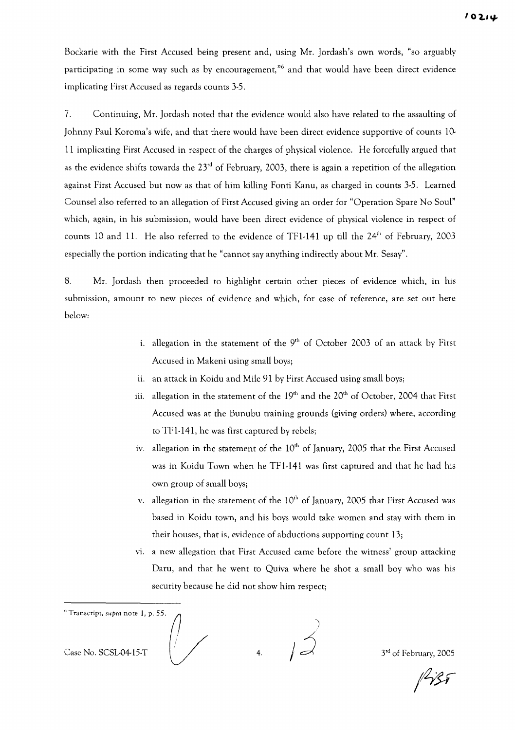Bockarie with the First Accused being present and, using Mr. Jordash's own words, "so arguably participating in some way such as by encouragement,"6 and that would have been direct evidence implicating First Accused as regards counts 3-5.

7. Continuing, Mr. Jordash noted that the evidence would also have related to the assaulting of Johnny Paul Koroma's wife, and that there would have been direct evidence supportive of counts lO-II implicating First Accused in respect of the charges of physical violence. He forcefully argued that as the evidence shifts towards the  $23<sup>rd</sup>$  of February, 2003, there is again a repetition of the allegation against First Accused but now as that of him killing Fonti Kanu, as charged in counts 3-5. Learned Counsel also referred to an allegation of First Accused giving an order for "Operation Spare No Soul" which, again, in his submission, would have been direct evidence of physical violence in respect of counts 10 and 11. He also referred to the evidence of TF1-141 up till the 24<sup>th</sup> of February, 2003 especially the portion indicating that he "cannot say anything indirectly about Mr. Sesay".

8. Mr. Jordash then proceeded to highlight certain other pieces of evidence which, in his submission, amount to new pieces of evidence and which, for ease of reference, are set out here below:

- i. allegation in the statement of the  $9<sup>th</sup>$  of October 2003 of an attack by First Accused in Makeni using small boys;
- ii. an attack in Koidu and Mile 91 by First Accused using small boys;
- iii. allegation in the statement of the  $19<sup>th</sup>$  and the  $20<sup>th</sup>$  of October, 2004 that First Accused was at the Bunubu training grounds (giving orders) where, according to TF 1-141, he was first captured by rebels;
- iv. allegation in the statement of the  $10<sup>th</sup>$  of January, 2005 that the First Accused was in Koidu Town when he TF 1-141 was first captured and that he had his own group of small boys;
- v. allegation in the statement of the  $10<sup>th</sup>$  of January, 2005 that First Accused was based in Koidu town, and his boys would take women and stay with them in their houses, that is, evidence of abductions supporting count 13;
- vi. a new allegation that First Accused came before the witness' group attacking Daru, and that he went to Quiva where he shot a small boy who was his security because he did not show him respect;

 $<sup>6</sup>$  Transcript, supra note 1, p. 55.</sup> Case No. SCSL-04-15-T  $\begin{array}{ccc} \downarrow \searrow & \downarrow \searrow & \downarrow \searrow \end{array}$  3<sup>rd</sup> of February, 2005

 $1437$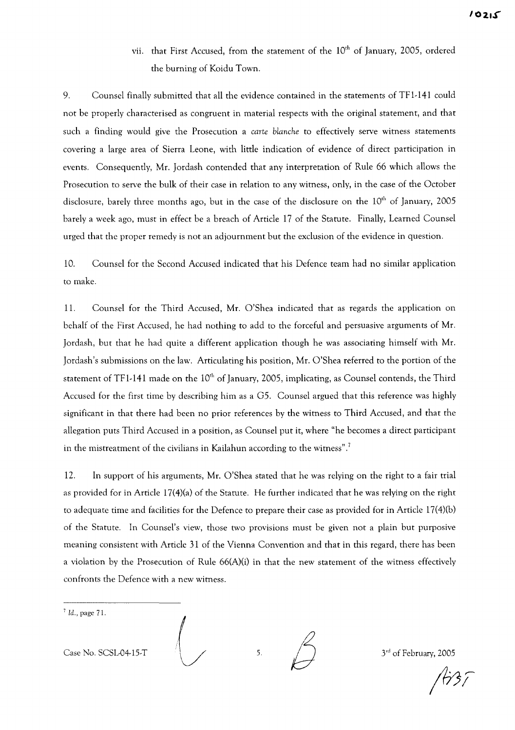vii. that First Accused, from the statement of the 10<sup>th</sup> of January, 2005, ordered the burning of Koidu Town.

9. Counsel finally submitted that all the evidence contained in the statements of TF1-141 could not be properly characterised as congruent in material respects with the original statement, and that such a finding would give the Prosecution a *carte blanche* to effectively serve witness statements covering a large area of Sierra Leone, with little indication of evidence of direct participation in events. Consequently, Mr. Jordash contended that any interpretation of Rule 66 which allows the Prosecution to serve the bulk of their case in relation to any witness, only, in the case of the October disclosure, barely three months ago, but in the case of the disclosure on the  $10<sup>th</sup>$  of January, 2005 barely a week ago, must in effect be a breach of Article 17 of the Statute. Finally, Learned Counsel urged that the proper remedy is not an adjournment but the exclusion of the evidence in question.

10. Counsel for the Second Accused indicated that his Defence team had no similar application to make.

11. Counsel for the Third Accused, Mr. O'Shea indicated that as regards the application on behalf of the First Accused, he had nothing to add to the forceful and persuasive arguments of Mr. Jordash, but that he had quite a different application though he was associating himself with Mr. Jordash's submissions on the law. Articulating his position, Mr. O'Shea referred to the portion of the statement of TF1-141 made on the  $10<sup>th</sup>$  of January, 2005, implicating, as Counsel contends, the Third Accused for the first time by describing him as a *G5.* Counsel argued that this reference was highly significant in that there had been no prior references by the witness to Third Accused, and that the allegation puts Third Accused in a position, as Counsel put it, where "he becomes a direct participant in the mistreatment of the civilians in Kailahun according to the witness".<sup>7</sup>

12. In support of his arguments, Mr. O'Shea stated that he was relying on the right to a fair trial as provided for in Article 17(4)(a) of the Statute. He further indicated that he was relying on the right to adequate time and facilities for the Defence to prepare their case as provided for in Article 17(4)(b) of the Statute. In Counsel's view, those two provisions must be given not a plain but purposive meaning consistent with Article 31 of the Vienna Convention and that in this regard, there has been a violation by the Prosecution of Rule 66(A)(i) in that the new statement of the witness effectively confronts the Defence with a new witness.

 $<sup>7</sup>$  Id., page 71.</sup>

Case No. SCSL-04-15-T  $\left(\begin{array}{cc} \nearrow \end{array}\right)$  5.  $\left(\begin{array}{cc} \nearrow \end{array}\right)$  3<sup>rd</sup> of February, 2005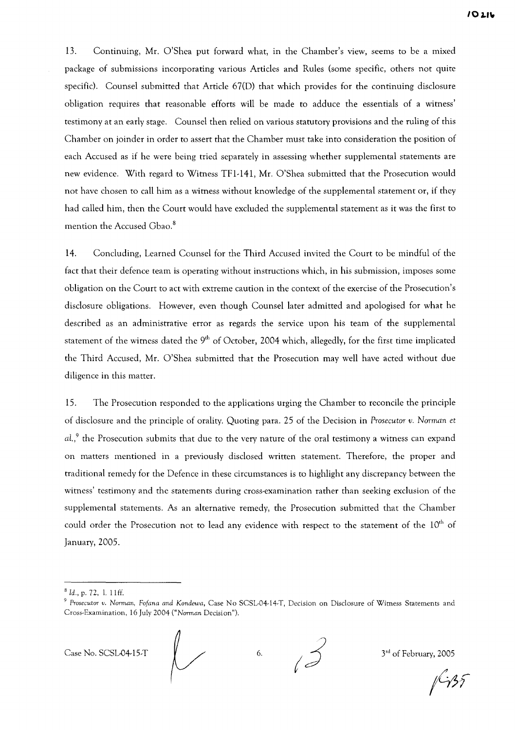13. Continuing, Mr. O'Shea put forward what, in the Chamber's view, seems to be a mixed package of submissions incorporating various Articles and Rules (some specific, others not quite specific). Counsel submitted that Article 67(D) that which provides for the continuing disclosure obligation requires that reasonable efforts will be made to adduce the essentials of a witness' testimony at an early stage. Counsel then relied on various statutory provisions and the ruling of this Chamber on joinder in order to assert that the Chamber must take into consideration the position of each Accused as if he were being tried separately in assessing whether supplemental statements are new evidence. With regard to Witness TF1-141, Mr. O'Shea submitted that the Prosecution would not have chosen to call him as a witness without knowledge of the supplemental statement or, if they had called him, then the Court would have excluded the supplemental statement as it was the first to mention the Accused Gbao.<sup>8</sup>

14. Concluding, Learned Counsel for the Third Accused invited the Court to be mindful of the fact that their defence team is operating without instructions which, in his submission, imposes some obligation on the Court to act with extreme caution in the context of the exercise of the Prosecution's disclosure obligations. However, even though Counsel later admitted and apologised for what he described as an administrative error as regards the service upon his team of the supplemental statement of the witness dated the 9<sup>th</sup> of October, 2004 which, allegedly, for the first time implicated the Third Accused, Mr. O'Shea submitted that the Prosecution may well have acted without due diligence in this matter.

15. The Prosecution responded to the applications urging the Chamber to reconcile the principle of disclosure and the principle of orality. Quoting para. 25 of the Decision in *Prosecutor v. Norman* et  $aL<sub>1</sub><sup>9</sup>$  the Prosecution submits that due to the very nature of the oral testimony a witness can expand on matters mentioned in a previously disclosed written statement. Therefore, the proper and traditional remedy for the Defence in these circumstances is to highlight any discrepancy between the witness' testimony and the statements during cross-examination rather than seeking exclusion of the supplemental statements. As an alternative remedy, the Prosecution submitted that the Chamber could order the Prosecution not to lead any evidence with respect to the statement of the  $10<sup>th</sup>$  of January, 2005.

Case No. SCSL-04-15-T<br>
6. j<sup>3rd</sup> of February, 2005<br>  $\sqrt{35}$ 

<sup>8</sup> *Id.,* p. 72, 1. 11ff.

<sup>9</sup> *Prosecutor v. Norman, Fofana and Kondewa,* Case No SCSL·04·14·T, Decision on Disclosure of Wimess Statements and Cross·Examination, 16 July 2004 *("Norman* Decision").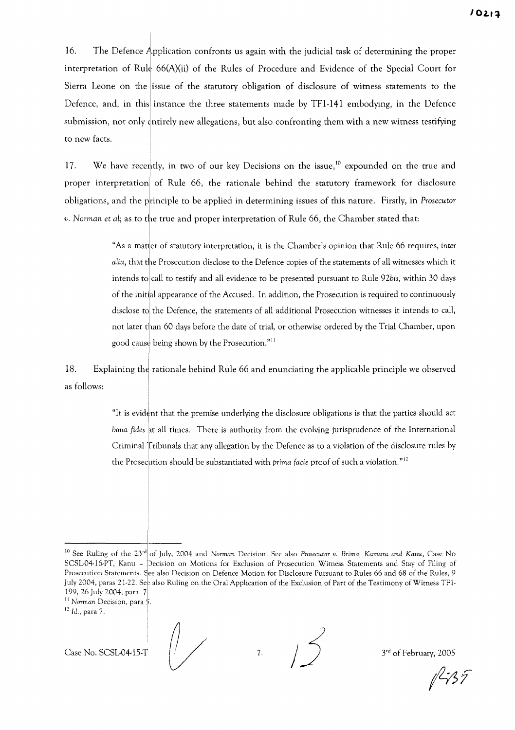16. The Defence Application confronts us again with the judicial task of determining the proper interpretation of Rule 66(A)(ii) of the Rules of Procedure and Evidence of the Special Court for Sierra Leone on the issue of the statutory obligation of disclosure of witness statements to the Defence, and, in this instance the three statements made by TF1-141 embodying, in the Defence submission, not only tntirely new allegations, but also confronting them with a new witness testifying to new facts.

17. We have recently, in two of our key Decisions on the issue,<sup>10</sup> expounded on the true and proper interpretation of Rule 66, the rationale behind the statutory framework for disclosure obligations, and the principle to be applied in determining issues of this nature. Firstly, in *Prosecutor v. Norman et al*; as to the true and proper interpretation of Rule 66, the Chamber stated that:

> "As a mat er of statutory interpretation, it is the Chamber's opinion that Rule 66 requires, *inter alia,* that the Prosecution disclose to the Defence copies of the statements of all witnesses which it intends to call to testify and all evidence to be presented pursuant to Rule 92bis, within 30 days of the initilal appearance of the Accused. In addition, the Prosecution is required to continuously disclose toj the Defence, the statements of all additional Prosecution witnesses it intends to call, not later than 60 days before the date of trial, or otherwise ordered by the Trial Chamber, upon good cause being shown by the Prosecution."<sup>11</sup>

18. Explaining the rationale behind Rule 66 and enunciating the applicable principle we observed as follows:

> "It is evident that the premise underlying the disclosure obligations is that the parties should act *bona fides* at all times. There is authority from the evolving jurisprudence of the International Criminal Tribunals that any allegation by the Defence as to a violation of the disclosure rules by the Prosecution should be substantiated with *prima facie* proof of such a violation."<sup>12</sup>

II *Norman* Decision, para *'i.*

Case No. SCSL-04-15-T  $\left( \frac{1}{2} \right)$  7.  $\left( \frac{1}{2} \right)$  3<sup>rd</sup> of February, 2005

 $1435$ 

<sup>10</sup> See Ruling of the 2yd of July, 2004 and *Norman* Decision. See also *Prosecutor v. Brima, Kamara and Kanu,* Case No SCSL-04-16-PT, Kanu - Decision on Motions for Exclusion of Prosecution Witness Statements and Stay of Filing of Prosecution Statements. See also Decision on Defence Motion for Disclosute Pursuant to Rules 66 and 68 of the Rules, 9 July 2004, paras 21-22. Se<sub>2</sub> also Ruling on the Oral Application of the Exclusion of Part of the Testimony of Witness TF1-199, 26 July 2004, para. 7

 $12$  *Id.*, para 7.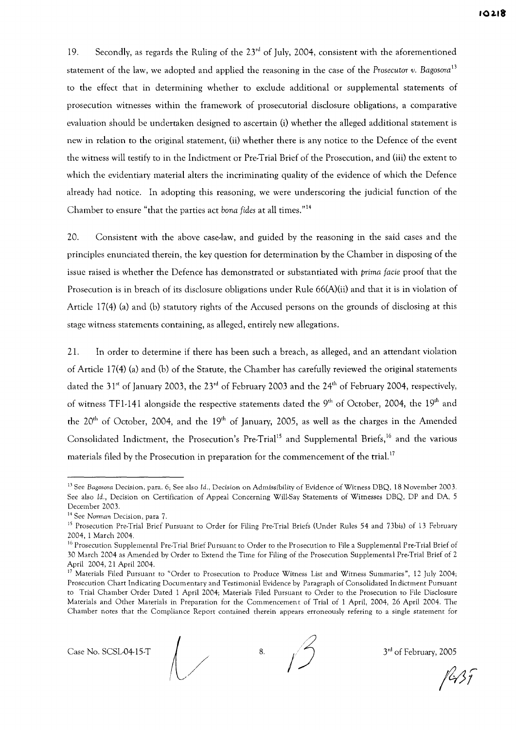19. Secondly, as regards the Ruling of the  $23<sup>rd</sup>$  of July, 2004, consistent with the aforementioned statement of the law, we adopted and applied the reasoning in the case of the *Prosecutor v. Bagosora*<sup>13</sup> to the effect that in determining whether to exclude additional or supplemental statements of prosecution witnesses within the framework of prosecutorial disclosure obligations, a comparative evaluation should be undertaken designed to ascertain (i) whether the alleged additional statement is new in relation to the original statement, (ii) whether there is any notice to the Defence of the event the witness will testify to in the Indictment or Pre-Trial Brief of the Prosecution, and (iii) the extent to which the evidentiary material alters the incriminating quality of the evidence of which the Defence already had notice. In adopting this reasoning, we were underscoring the judicial function of the Chamber to ensure "that the parties act *bona fides* at all times."<sup>14</sup>

20. Consistent with the above case-law, and guided by the reasoning in the said cases and the principles enunciated therein, the key question for determination by the Chamber in disposing of the issue raised is whether the Defence has demonstrated or substantiated with *prima facie* proof that the Prosecution is in breach of its disclosure obligations under Rule 66(A)(ii) and that it is in violation of Article 17(4) (a) and (b) statutory rights of the Accused persons on the grounds of disclosing at this stage witness statements containing, as alleged, entirely new allegations.

21. In order to determine if there has been such a breach, as alleged, and an attendant violation of Article 17(4) (a) and (b) of the Statute, the Chamber has carefully reviewed the original statements dated the  $31^{st}$  of January 2003, the  $23^{rd}$  of February 2003 and the  $24^{th}$  of February 2004, respectively, of witness TF1-141 alongside the respective statements dated the  $9<sup>th</sup>$  of October, 2004, the  $19<sup>th</sup>$  and the  $20<sup>th</sup>$  of October, 2004, and the  $19<sup>th</sup>$  of January, 2005, as well as the charges in the Amended Consolidated Indictment, the Prosecution's Pre-Trial<sup>15</sup> and Supplemental Briefs,<sup>16</sup> and the various materials filed by the Prosecution in preparation for the commencement of the trial.<sup>17</sup>

<sup>11</sup> See *Bagosora* Decision, para. 6; See also *Id.,* Decision on Admissibility of Evidence of Witness DBQ, 18 November 2003. See also Id., Decision on Certification of Appeal Concerning Will-Say Statements of Witnesses DBQ, DP and DA, 5 December 2003.

<sup>14</sup> See *Norman* Decision, para 7.

<sup>&</sup>lt;sup>15</sup> Prosecution Pre-Trial Brief Pursuant to Order for Filing Pre-Trial Briefs (Under Rules 54 and 73bis) of 13 February 2004, 1 March 2004.

<sup>&</sup>lt;sup>16</sup> Prosecution Supplemental Pre-Trial Brief Pursuant to Order to the Prosecution to File a Supplemental Pre-Trial Brief of 30 March 2004 as Amended by Order to Extend the Time for Filing of the Prosecution Supplementa I Pre-Trial Brief of 2 April 2004,21 April 2004.

<sup>&</sup>lt;sup>17</sup> Materials Filed Pursuant to "Order to Prosecution to Produce Witness List and Witness Summaries", 12 July 2004; Prosecution Chart Indicating Documentary and Testimonial Evidence by Paragraph of Consolidated Indictment Pursuant to Trial Chamber Order Dated 1 April 2004; Materials Filed Pursuant to Order to the Prosecution to File Disclosure Materials and Other Materials in Preparation for the Commencemen t of Trial of 1 April, 2004, 26 April 2004. The Chamber notes that the Compliance Report contained therein appears erroneously refering to a single statement for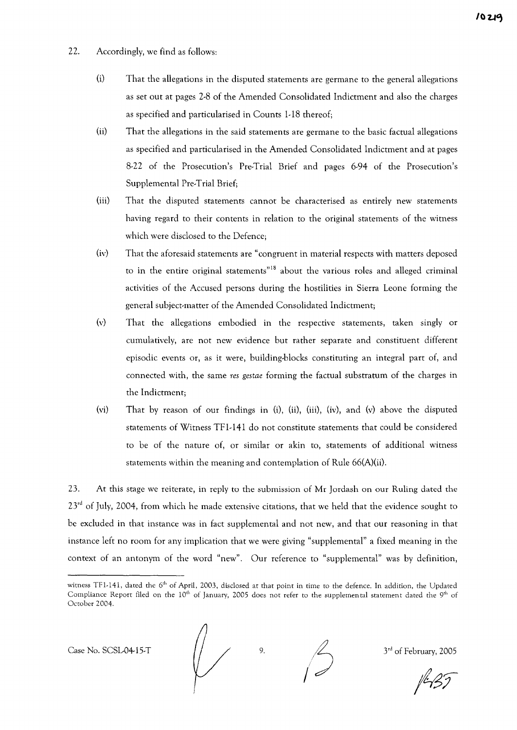- 22. Accordingly, we find as follows:
	- $(i)$  That the allegations in the disputed statements are germane to the general allegations as set out at pages 2-8 of the Amended Consolidated Indictment and also the charges as specified and particularised in Counts 1-18 thereof;
	- (ii) That the allegations in the said statements are germane to the basic factual allegations as specified and particularised in the Amended Consolidated Indictment and at pages 8-22 of the Prosecution's Pre-Trial Brief and pages 6-94 of the Prosecution's Supplemental Pre-Trial Brief;
	- (iii) That the disputed statements cannot be characterised as entirely new statements having regard to their contents in relation to the original statements of the witness which were disclosed to the Defence;
	- (iv) That the aforesaid statements are "congruent in material respects with matters deposed to in the entire original statements"<sup>18</sup> about the various roles and alleged criminal activities of the Accused persons during the hostilities in Sierra Leone forming the general subject-matter of the Amended Consolidated Indictment;
	- (v) That the allegations embodied in the respective statements, taken singly or cumulatively, are not new evidence but rather separate and constituent different episodic events or, as it were, building-blocks constituting an integral part of, and connected with, the same *res gestae* forming the factual substratum of the charges in the Indictment;
	- (vi) That by reason of our findings in (i), (ii), (iii), (iv), and (v) above the disputed statements of Witness TFl-141 do not constitute statements that could be considered to be of the nature of, or similar or akin to, statements of additional witness statements within the meaning and contemplation of Rule 66(A)(ii).

23. At this stage we reiterate, in reply to the submission of Mr Jordash on our Ruling dated the 23<sup>rd</sup> of July, 2004, from which he made extensive citations, that we held that the evidence sought to be excluded in that instance was in fact supplemental and not new, and that our reasoning in that instance left no room for any implication that we were giving "supplemental" a fixed meaning in the context of an antonym of the word "new". Our reference to "supplemental" was by definition,

Case No. SCSL-04-15-T  $\begin{array}{ccc} \begin{array}{ccc} \end{array} & \begin{array}{ccc} \end{array} & \begin{array}{ccc} \end{array} & \begin{array}{ccc} \end{array} & \begin{array}{ccc} \end{array} & \begin{array}{ccc} \end{array} & \begin{array}{ccc} \end{array} & \begin{array}{ccc} \end{array} & \begin{array}{ccc} \end{array} & \begin{array}{ccc} \end{array} & \begin{array}{ccc} \end{array} & \begin{array}{ccc} \end{array} & \begin{array}{ccc} \end{array} & \begin{array}{ccc} \end{array} & \begin{array}{c} \end$ 

witness TF1-141, dated the 6<sup>th</sup> of April, 2003, disclosed at that point in time to the defence. In addition, the Updated Compliance Report filed on the  $10^{th}$  of January, 2005 does not refer to the supplemental statement dated the  $9^{th}$  of October 2004.